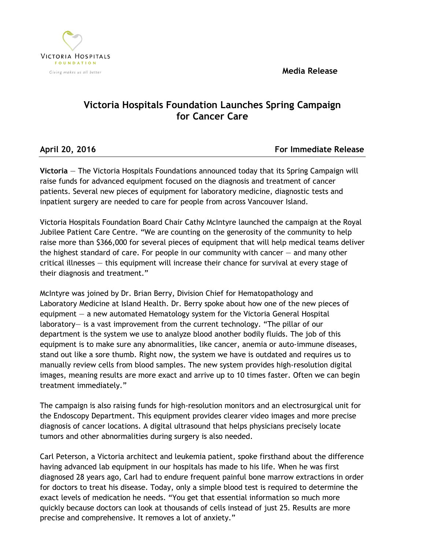**Media Release**



## **Victoria Hospitals Foundation Launches Spring Campaign for Cancer Care**

**April 20, 2016 For Immediate Release**

**Victoria** — The Victoria Hospitals Foundations announced today that its Spring Campaign will raise funds for advanced equipment focused on the diagnosis and treatment of cancer patients. Several new pieces of equipment for laboratory medicine, diagnostic tests and inpatient surgery are needed to care for people from across Vancouver Island.

Victoria Hospitals Foundation Board Chair Cathy McIntyre launched the campaign at the Royal Jubilee Patient Care Centre. "We are counting on the generosity of the community to help raise more than \$366,000 for several pieces of equipment that will help medical teams deliver the highest standard of care. For people in our community with cancer  $-$  and many other critical illnesses — this equipment will increase their chance for survival at every stage of their diagnosis and treatment."

McIntyre was joined by Dr. Brian Berry, Division Chief for Hematopathology and Laboratory Medicine at Island Health. Dr. Berry spoke about how one of the new pieces of equipment — a new automated Hematology system for the Victoria General Hospital laboratory— is a vast improvement from the current technology. "The pillar of our department is the system we use to analyze blood another bodily fluids. The job of this equipment is to make sure any abnormalities, like cancer, anemia or auto-immune diseases, stand out like a sore thumb. Right now, the system we have is outdated and requires us to manually review cells from blood samples. The new system provides high-resolution digital images, meaning results are more exact and arrive up to 10 times faster. Often we can begin treatment immediately."

The campaign is also raising funds for high-resolution monitors and an electrosurgical unit for the Endoscopy Department. This equipment provides clearer video images and more precise diagnosis of cancer locations. A digital ultrasound that helps physicians precisely locate tumors and other abnormalities during surgery is also needed.

Carl Peterson, a Victoria architect and leukemia patient, spoke firsthand about the difference having advanced lab equipment in our hospitals has made to his life. When he was first diagnosed 28 years ago, Carl had to endure frequent painful bone marrow extractions in order for doctors to treat his disease. Today, only a simple blood test is required to determine the exact levels of medication he needs. "You get that essential information so much more quickly because doctors can look at thousands of cells instead of just 25. Results are more precise and comprehensive. It removes a lot of anxiety."